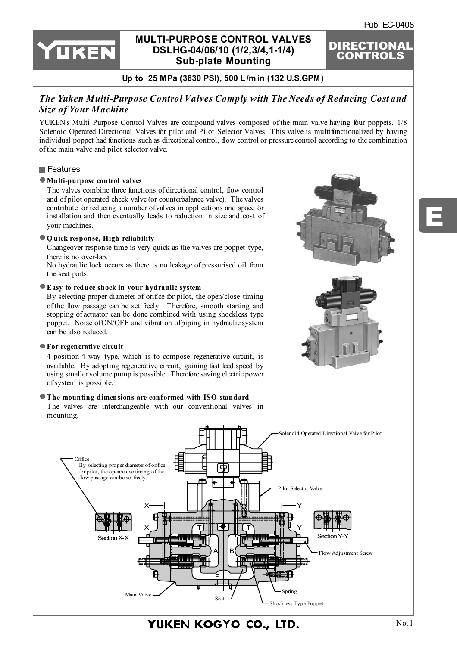E

DIRECTIONAL CONTROLS



## **[MULTI-PURPOSE CONTROL VALVES](http://www.rmc.rukmit.com) DSLHG-04/06/10 (1/2,3/4,1-1/4) Sub-plate Mounting**

### **Up to 25 MPa (3630 PSI), 500 L /m in (132 U.S.GPM)**

## *The Yuken Multi-Purpose Control Valves Comply with The Needs of Reducing Cost and Size of Your Machine*

YUKEN's Multi Purpose Control Valves are compound valves composed of the main valve having four poppets, 1/8 Solenoid Operated Directional Valves for pilot and Pilot Selector Valves. This valve is multifunctionalized by having individual poppet had functions such as directional control, flow control or pressure control according to the combination of the main valve and pilot selector valve.

#### **Features**

#### **Multi-purpose control valves**

The valves combine three functions of directional control, flow control and of pilot operated check valve (or counterbalance valve). The valves contribute for reducing a number of valves in applications and space for installation and then eventually leads to reduction in size and cost of your machines.

#### **Q uick response, High reliability**

Changeover response time is very quick as the valves are poppet type, there is no over-lap.

No hydraulic lock occurs as there is no leakage of pressurised oil from the seat parts.

#### **Easy to reduce shock in your hydraulic system**

By selecting proper diameter of orifice for pilot, the open/close timing of the flow passage can be set freely. Therefore, smooth starting and stopping of actuator can be done combined with using shockless type poppet. Noise of ON/OFF and vibration of piping in hydraulic system can be also reduced.

#### **For regenerative circuit**

4 position-4 way type, which is to compose regenerative circuit, is available. By adopting regenerative circuit, gaining fast feed speed by using smaller volume pump is possible. Therefore saving electric power of system is possible.

#### **The mounting dimensions are conformed with ISO standard**

The valves are interchangeable with our conventional valves in mounting.







YUKEN KOGYO CO., LTD.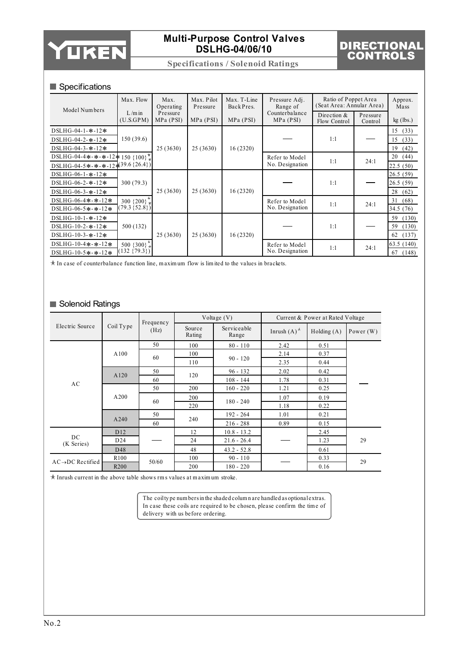

# DIRECTIONAL CONTROLS

**Specifications / Solenoid Ratings**

### Specifications

| Model Numbers                         | Max. Flow                  | Max.<br>Operating     | Max. Pilot<br>Pressure | Max. T-Line<br>Back Pres. | Pressure Adj.<br>Range of   | Ratio of Poppet Area<br>(Seat Area: Annular Area) |                     | Approx.<br>Mass |
|---------------------------------------|----------------------------|-----------------------|------------------------|---------------------------|-----------------------------|---------------------------------------------------|---------------------|-----------------|
|                                       | $L/m$ in<br>(U.S.GPM)      | Pressure<br>MPa (PSI) | MPa (PSI)<br>MPa (PSI) |                           | Counterbalance<br>MPa (PSI) | Direction $&$<br>Flow Control                     | Pressure<br>Control | $kg$ (lbs.)     |
| DSLHG-04-1- $*$ -12*                  |                            |                       |                        |                           |                             |                                                   |                     | 15(33)          |
| DSLHG-04-2- $*$ -12*                  | 150(39.6)                  |                       |                        |                           |                             | 1:1                                               |                     | 15<br>(33)      |
| DSLHG-04-3- $*$ -12*                  |                            | 25 (3630)             | 25(3630)               | 16(2320)                  |                             |                                                   |                     | 19<br>(42)      |
| DSLHG-04-4*-*-*-12*150 {100}          |                            |                       |                        |                           | Refer to Model              | 1:1                                               | 24:1                | 20<br>(44)      |
| DSLHG-04-5*-*-*-12- $(39.6 \{26.4\})$ |                            |                       |                        |                           | No. Designation             |                                                   |                     | 22.5(50)        |
| DSLHG-06-1- $*$ -12*                  |                            |                       |                        |                           |                             |                                                   |                     | 26.5(59)        |
| DSLHG-06-2- $*$ -12*                  | 300(79.3)                  |                       |                        |                           |                             | 1:1                                               |                     | 26.5(59)        |
| DSLHG-06-3- $*$ -12*                  |                            | 25(3630)              | 25(3630)               | 16(2320)                  |                             |                                                   |                     | 28<br>(62)      |
| DSLHG-06-4*-*-12*                     | $300 \{200\}$              |                       |                        |                           | Refer to Model              | 1:1                                               | 24:1                | (68)<br>31      |
| DSLHG-06-5*-*-12*                     | $(79.3 \{52.8\})$          |                       |                        |                           | No. Designation             |                                                   |                     | 34.5 (76)       |
| DSLHG-10-1- $*$ -12*                  |                            |                       |                        |                           |                             |                                                   |                     | (130)<br>59     |
| DSLHG-10-2- $*$ -12*                  | 500 (132)                  |                       |                        |                           |                             | 1:1                                               |                     | (130)<br>59     |
| DSLHG-10-3- $*$ -12*                  |                            | 25(3630)              | 25(3630)               | 16(2320)                  |                             |                                                   |                     | (137)<br>62     |
| DSLHG-10-4*-*-12*                     | 500 $\{300\}$ <sup>n</sup> |                       |                        |                           | Refer to Model              | 1:1                                               | 24:1                | 63.5(140)       |
| DSLHG-10-5*-*-12*                     | $132 \{79.3\}$             |                       |                        |                           | No. Designation             |                                                   |                     | 67<br>(148)     |

 $\star$  In case of counterbalance function line, maximum flow is limited to the values in brackets.

### Solenoid Ratings

|                               |                  | Frequency |                  | Voltage $(V)$        |                                            | Current & Power at Rated Voltage |             |  |
|-------------------------------|------------------|-----------|------------------|----------------------|--------------------------------------------|----------------------------------|-------------|--|
| Electric Source               | Coil Type        | (Hz)      | Source<br>Rating | Serviceable<br>Range | Inrush $(A)$ <sup><math>\star</math></sup> | Holding $(A)$                    | Power $(W)$ |  |
| AC                            |                  | 50        | 100              | $80 - 110$           | 2.42                                       | 0.51                             |             |  |
|                               | A100             | 60        | 100              |                      | 2.14                                       | 0.37                             |             |  |
|                               |                  |           | 110              | $90 - 120$           | 2.35                                       | 0.44                             |             |  |
|                               | A120             | 50        | 120              | $96 - 132$           | 2.02                                       | 0.42                             |             |  |
|                               |                  | 60        |                  | $108 - 144$          | 1.78                                       | 0.31                             |             |  |
|                               | A200             | 50        | 200              | $160 - 220$          | 1.21                                       | 0.25                             |             |  |
|                               |                  | 60        | 200              | $180 - 240$          | 1.07                                       | 0.19                             |             |  |
|                               |                  |           | 220              |                      | 1.18                                       | 0.22                             |             |  |
|                               | A240             | 50        | 240              | $192 - 264$          | 1.01                                       | 0.21                             |             |  |
|                               |                  | 60        |                  | $216 - 288$          | 0.89                                       | 0.15                             |             |  |
|                               | D <sub>12</sub>  |           | 12               | $10.8 - 13.2$        |                                            | 2.45                             |             |  |
| DC<br>(K Series)              | D <sub>24</sub>  |           | 24               | $21.6 - 26.4$        |                                            | 1.23                             | 29          |  |
|                               | D48              |           | 48               | $43.2 - 52.8$        |                                            | 0.61                             |             |  |
| $AC \rightarrow DC$ Rectified | R <sub>100</sub> | 50/60     | 100              | $90 - 110$           |                                            | 0.33                             | 29          |  |
|                               | R <sub>200</sub> |           | 200              | $180 - 220$          |                                            | 0.16                             |             |  |

 $\star$  Inrush current in the above table shows rms values at maximum stroke.

The coil ty pe num bers in the shaded colum n are handled as optional extras. In case these coils are required to be chosen, please confirm the tim e of delivery with us before ordering.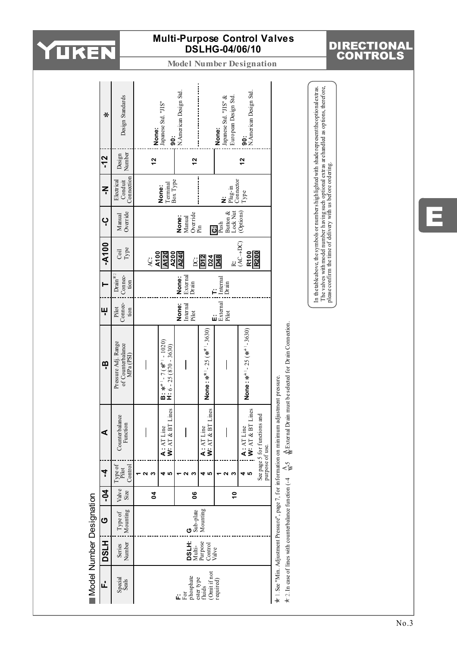

DIRECTIONAL CONTROLS

**Model Number Designation**

|                          | ⋇            | Design Standards                                     |                | <b>None:</b><br>Japanese Std. "JIS"<br>ခွဲ                                                     | N.American Design Std.      |                                      | European Design Std.<br>Japanese Std. "JIS" &<br>None:                                                      | N.American Design Std.<br><b>90:</b>     |                              |                                                                                                    | The valves with model number having such optional extras arehandled as options, therefore,<br>In the table above, the symbols or numbers highlighted with shade represent the optional extras. |
|--------------------------|--------------|------------------------------------------------------|----------------|------------------------------------------------------------------------------------------------|-----------------------------|--------------------------------------|-------------------------------------------------------------------------------------------------------------|------------------------------------------|------------------------------|----------------------------------------------------------------------------------------------------|------------------------------------------------------------------------------------------------------------------------------------------------------------------------------------------------|
|                          | -12          | Number<br>Design                                     | $\frac{2}{3}$  |                                                                                                | 12                          |                                      |                                                                                                             | 12                                       |                              |                                                                                                    |                                                                                                                                                                                                |
|                          | z            | Connection<br>Conduit<br>Electrical                  |                | Terminal<br>None:                                                                              | Вох Туре                    |                                      | $\begin{array}{c} \mathbf{Plug}\text{-}\mathbf{in} \\ \mathbf{Connector} \\ \mathbf{Type} \end{array}$<br>ż |                                          |                              |                                                                                                    |                                                                                                                                                                                                |
|                          | ပု           | Override<br>Manual                                   |                |                                                                                                | Override<br>None:<br>Manual | Ρiη                                  | Button &<br>Lock Nut<br>Push<br>$\ddot{\mathbf{c}}$                                                         | (Options)                                |                              |                                                                                                    |                                                                                                                                                                                                |
|                          | $-4100$      | Type<br>$_{\rm Coil}$                                | Ŀ.             | A100<br>A200<br>A120                                                                           | A240<br>ġ                   | D <sub>12</sub>                      | $\frac{D24}{D48}$                                                                                           | $(AC \rightarrow DC)$<br>R100<br>R200    |                              |                                                                                                    | please confirm the time of delivery with us before ordering.                                                                                                                                   |
|                          |              | Drain $*$ 2<br>Connec-<br>tion                       |                |                                                                                                | External<br>None:<br>Drain  |                                      | $\prod_{i=1}^{n} \frac{1}{n}$                                                                               |                                          |                              |                                                                                                    |                                                                                                                                                                                                |
|                          | ۳            | Connec-<br>Pilot<br>tion                             |                |                                                                                                | None:<br>Internal<br>Pilot  |                                      | External<br>Pilot<br>ŵ                                                                                      |                                          |                              |                                                                                                    |                                                                                                                                                                                                |
|                          | ឝ            | Pressure Adj. Range<br>of Counterbalance<br>MPa(PSI) |                | <b>B</b> : $**$ <sup>1</sup> - 7 ( $**$ <sup>1</sup> - 1020)<br><b>H</b> : 6 - 25 (870 - 3630) |                             | None : $*^*$ ' - 25 ( $*^*$ - 3630)  |                                                                                                             | $\text{None:}$ $**$ $-25$ $(*^* - 3630)$ |                              | $\frac{A}{W}$ External Drain must be selected for Drain Connection.                                |                                                                                                                                                                                                |
|                          | ⋖            | Counterbalance<br>Function                           |                | Lines<br>W: $AT & BT$<br>A: AT Line                                                            |                             | Lines<br>W: $AT & BT$<br>A: AT Line  |                                                                                                             | Lines<br>$A: AT Line$<br>W: $AT & BT$    | See page 5 for functions and | $\star$ 1. See "Min. Adjustment Pressure", page 7, for information on minimum adjustment pressure. |                                                                                                                                                                                                |
|                          | 4            | Type of<br>Pilot<br>Control                          | S<br>ч         | <del>ປ</del> ທ                                                                                 | c                           | <del>ປ</del> ທ                       | N<br>S                                                                                                      | မာ                                       | purpose of use.              |                                                                                                    |                                                                                                                                                                                                |
|                          | $-0-$        | Valve<br>Size                                        | $\overline{a}$ |                                                                                                | °0                          |                                      | $\frac{1}{2}$                                                                                               |                                          |                              |                                                                                                    |                                                                                                                                                                                                |
| Model Number Designation | ပ            | Mounting<br>Type of                                  |                |                                                                                                | Sub-plate                   | Mounting                             |                                                                                                             |                                          |                              |                                                                                                    |                                                                                                                                                                                                |
|                          | <b>H</b> TSO | Number<br>Series                                     |                |                                                                                                | <b>TROO</b><br>Multi-       | Purpose<br>Control                   | Valve                                                                                                       |                                          |                              |                                                                                                    |                                                                                                                                                                                                |
|                          | đ.           | Special<br>Seals                                     |                |                                                                                                | phosphate<br>្ត<br>ស្ថិ     | (Omit if not<br>ester type<br>fluids | required)                                                                                                   |                                          |                              | $*$ 2. In case of lines with counterbalance function (-4 $\frac{A}{W}$ 5                           |                                                                                                                                                                                                |

E

No.3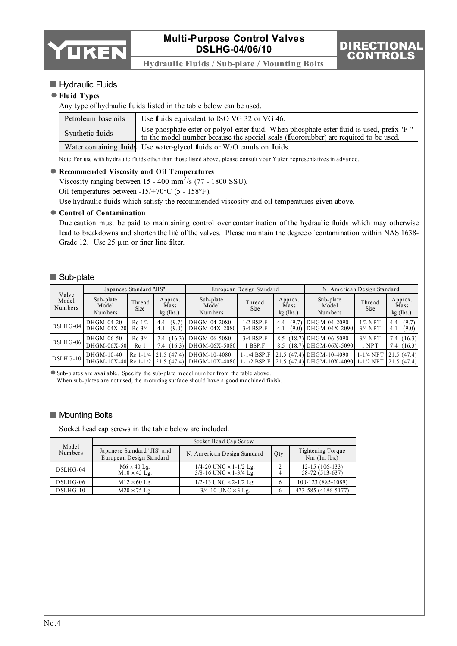

DIRECTIO CONTROLS

**Hydraulic Fluids / Sub-plate / Mounting Bolts**

#### Hydraulic Fluids

#### **Fluid Types**

Any type of hydraulic fluids listed in the table below can be used.

| Petroleum base oils | Use fluids equivalent to ISO VG 32 or VG 46.                                                                                                                                        |
|---------------------|-------------------------------------------------------------------------------------------------------------------------------------------------------------------------------------|
| Synthetic fluids    | Use phosphate ester or polyol ester fluid. When phosphate ester fluid is used, prefix "F-"<br>to the model number because the special seals (fluororubber) are required to be used. |
|                     | Water containing fluids Use water-glycol fluids or W/O emulsion fluids.                                                                                                             |

Note:For use with hy draulic fluids other than those listed above, please consult y our Yuken representatives in advance.

#### **Recommended Viscosity and Oil Temperatures**

Viscosity ranging between 15 - 400 mm<sup>2</sup>/s (77 - 1800 SSU). Oil temperatures between -15/+70°C (5 - 158°F).

Use hydraulic fluids which satisfy the recommended viscosity and oil temperatures given above.

#### **Control of Contamination**

Due caution must be paid to maintaining control over contamination of the hydraulic fluids which may otherwise lead to breakdowns and shorten the life of the valves. Please maintain the degree of contamination within NAS 1638- Grade 12. Use  $25 \mu m$  or finer line filter.

#### Sub-plate

|                           |                               | Japanese Standard "JIS"     |                                |                                                                             | European Design Standard                      |                                | N. American Design Standard                                                 |                        |                                |  |
|---------------------------|-------------------------------|-----------------------------|--------------------------------|-----------------------------------------------------------------------------|-----------------------------------------------|--------------------------------|-----------------------------------------------------------------------------|------------------------|--------------------------------|--|
| Valve<br>Model<br>Numbers | Sub-plate<br>Model<br>Numbers | Thread<br><b>Size</b>       | Approx.<br>Mass<br>$kg$ (lbs.) | Sub-plate<br>Model<br>Numbers                                               | Thread<br><b>Size</b>                         | Approx.<br>Mass<br>$kg$ (lbs.) | Sub-plate<br>Model<br>Numbers                                               | Thread<br><b>Size</b>  | Approx.<br>Mass<br>$kg$ (lbs.) |  |
| DSLHG-04                  | DHGM-04-20<br>$DHGM-04X-20$   | $Re$ 1/2<br>$Rc$ 3/4        | (9.7)<br>4.4<br>(9.0)<br>4.1   | DHGM-04-2080<br>DHGM-04X-2080                                               | $1/2$ BSP $\Gamma$<br>$3/4$ BSP F             | (9.7)<br>4.4<br>(9.0)<br>4.1   | DHGM-04-2090<br>$DBGM-04X-2090$                                             | $1/2$ NPT<br>$3/4$ NPT | (9.7)<br>4.4<br>4.1<br>(9.0)   |  |
| $DSLHG-06$                | DHGM-06-50<br>$DHGM-06X-50$   | $Rc$ 3/4<br>Rc <sub>1</sub> | 7.4<br>7.4<br>16.3)            | $(16.3)$ DHGM-06-5080<br>DHGM-06X-5080                                      | 3/4 BSP.F<br>BSP.F                            | 8.5<br>8.5                     | $(18.7)$ DHGM-06-5090<br>18.7 DHGM-06X-5090                                 | $3/4$ NPT<br>1 NPT     | (16.3)<br>7.4<br>7.4<br>(16.3) |  |
| $DSLHG-10$                | DHGM-10-40                    | $Rc$ 1-1/4                  |                                | $21.5(47.4)$ DHGM-10-4080<br>DHGM-10X-40 Rc 1-1/2 21.5 (47.4) DHGM-10X-4080 | $1-1/4$ BSP $\overline{F}$<br>$1 - 1/2$ BSP F |                                | 21.5 (47.4) DHGM-10-4090<br>21.5 (47.4) DHGM-10X-4090 1-1/2 NPT 21.5 (47.4) | $1-1/4$ NPT            | 121.5(47.4)                    |  |

Sub-plates are available. Specify the sub-plate m odel num ber from the table above.

W hen sub-plates are not used, the m ounting surface should have a good m achined finish.

#### **Mounting Bolts**

Socket head cap screws in the table below are included.

| Model<br>Numbers |                                                         | Socket Head Cap Screw                                                  |      |                                      |  |  |  |  |  |  |
|------------------|---------------------------------------------------------|------------------------------------------------------------------------|------|--------------------------------------|--|--|--|--|--|--|
|                  | Japanese Standard "JIS" and<br>European Design Standard | N. American Design Standard                                            | Qty. | Tightening Torque<br>$Nm$ (In. lbs.) |  |  |  |  |  |  |
| $DSLHG-04$       | $M6 \times 40$ Lg.<br>$M10 \times 45$ Lg.               | $1/4 - 20$ UNC $\times$ 1-1/2 Lg.<br>$3/8 - 16$ UNC $\times$ 1-3/4 Lg. | C    | $12-15(106-133)$<br>58-72 (513-637)  |  |  |  |  |  |  |
| $DSLHG-06$       | $M12 \times 60$ Lg.                                     | 1/2-13 UNC $\times$ 2-1/2 Lg.                                          |      | 100-123 (885-1089)                   |  |  |  |  |  |  |
| $DSLHG-10$       | $M20 \times 75$ Lg.                                     | $3/4$ -10 UNC $\times$ 3 Lg.                                           | h    | 473-585 (4186-5177)                  |  |  |  |  |  |  |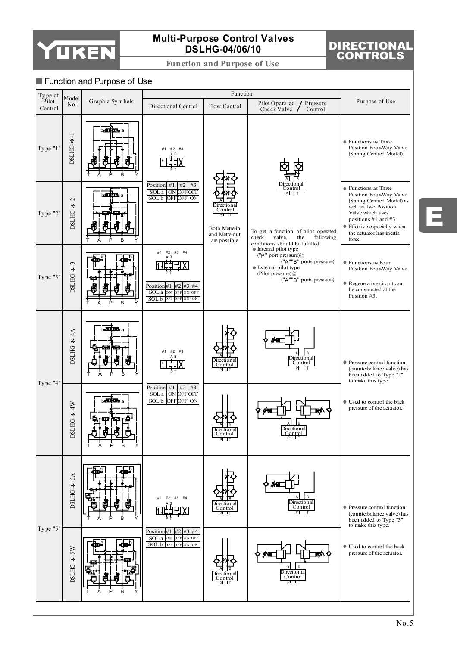

**Function and Purpose of Use**

# DIRECTIONAL CONTROLS

#### **Function and Purpose of Use**



E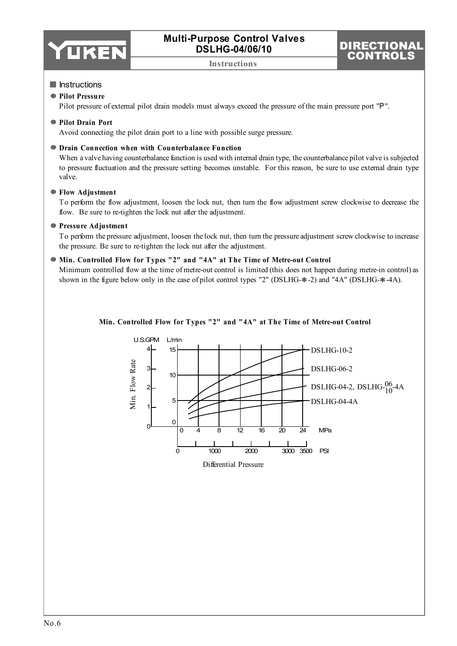

**Instructions**

# DIRECTIO CONTROLS

#### **Instructions**

#### **Pilot Pressure**

Pilot pressure of external pilot drain models must always exceed the pressure of the main pressure port "P".

#### **Pilot Drain Port**

Avoid connecting the pilot drain port to a line with possible surge pressure.

#### **Drain Connection when with Counterbalance Function**

When a valve having counterbalance function is used with internal drain type, the counterbalance pilot valve is subjected to pressure fluctuation and the pressure setting becomes unstable. For this reason, be sure to use external drain type valve.

#### **Flow Adjustment**

To perform the flow adjustment, loosen the lock nut, then turn the flow adjustment screw clockwise to decrease the flow. Be sure to re-tighten the lock nut after the adjustment.

#### **Pressure Adjustment**

To perform the pressure adjustment, loosen the lock nut, then turn the pressure adjustment screw clockwise to increase the pressure. Be sure to re-tighten the lock nut after the adjustment.

#### **Min. Controlled Flow for Types "2" and "4A" at The Time of Metre-out Control**

Minimum controlled flow at the time of metre-out control is limited (this does not happen during metre-in control) as shown in the figure below only in the case of pilot control types "2" (DSLHG-\*-2) and "4A" (DSLHG-\*-4A).



### **Min. Controlled Flow for Types "2" and "4A" at The Time of Metre-out Control**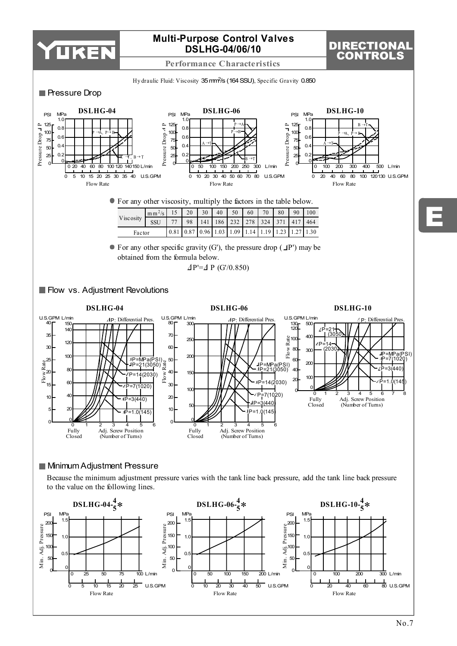

**Performance Characteristics**

# DIRECTIONAL CONTROLS

E

Hy draulic Fluid: Viscosity 35 mm<sup>2</sup>/s (164 SSU), Specific Gravity 0.850



Flow Rate



Flow Rate

Flow Rate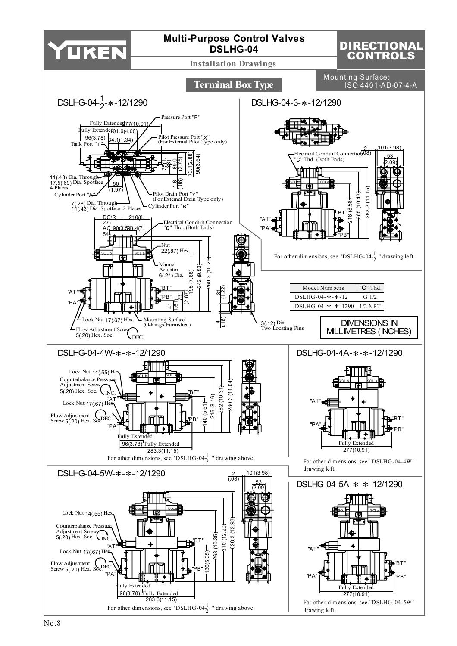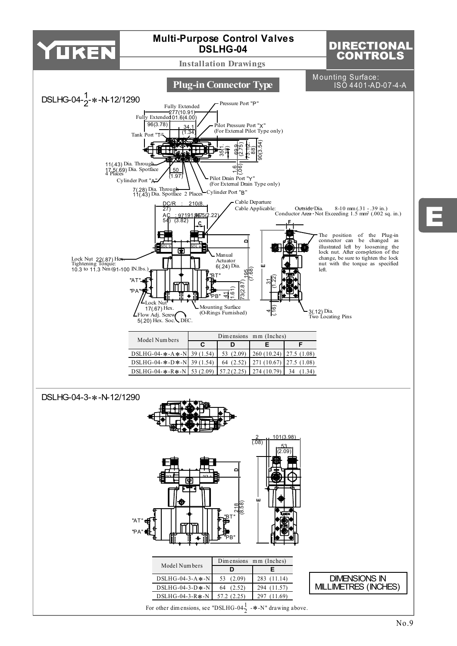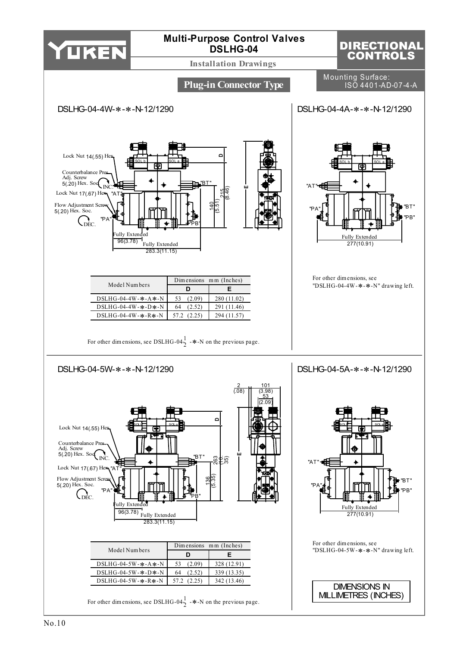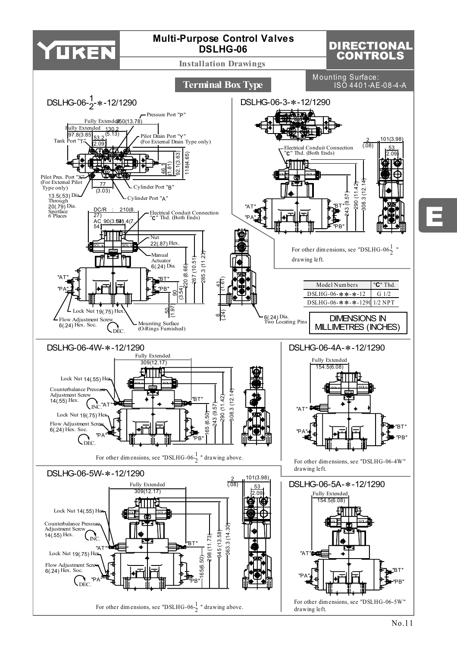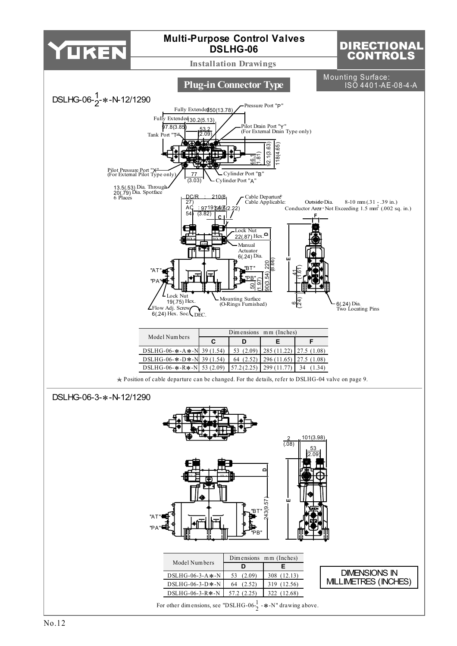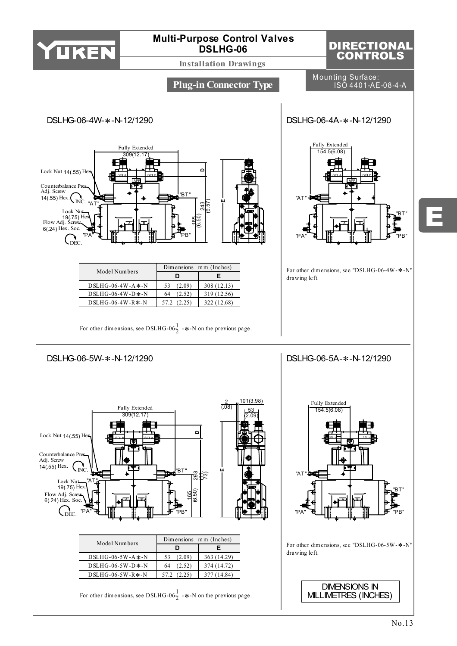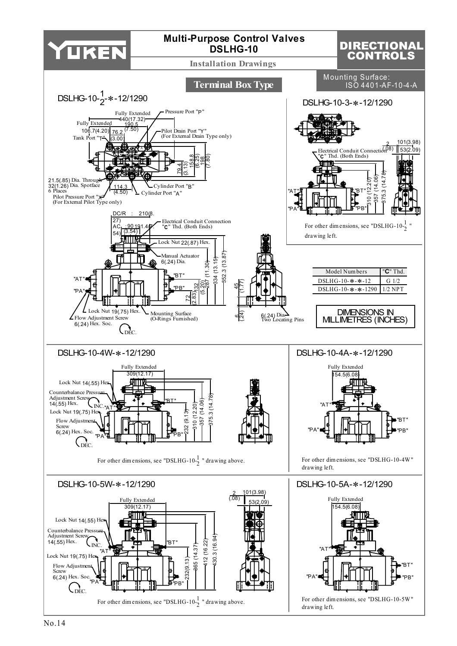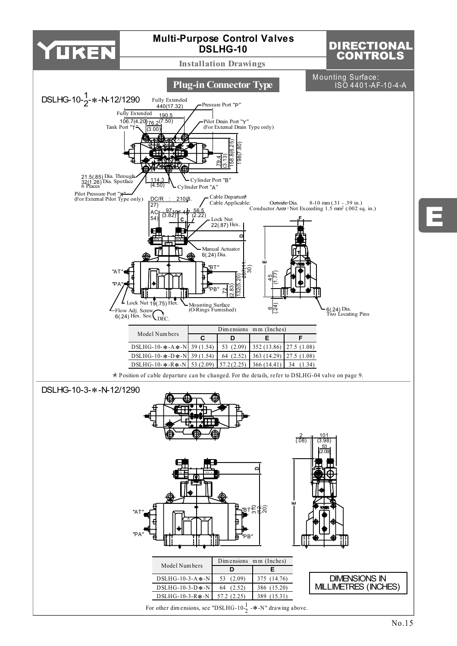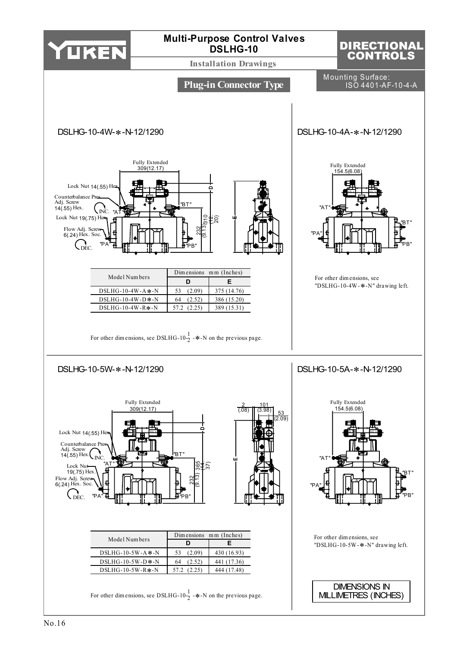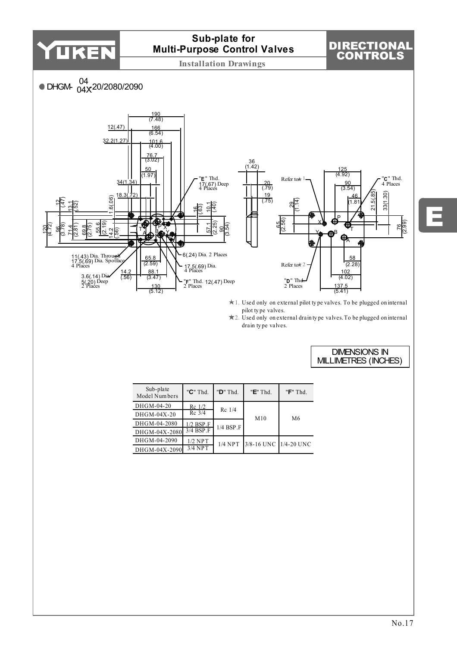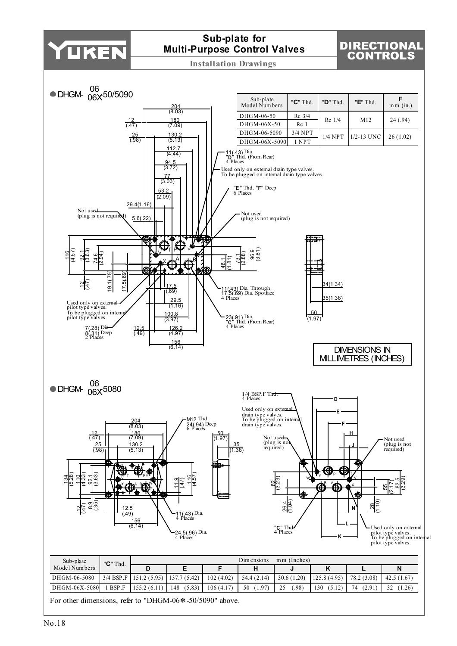

# **Sub-plate for Multi-Purpose Control Valves**

# DIRECTIONAL CONTROLS

**Installation Drawings**



For other dimensions, refer to "DHGM-06∗-50/5090" above.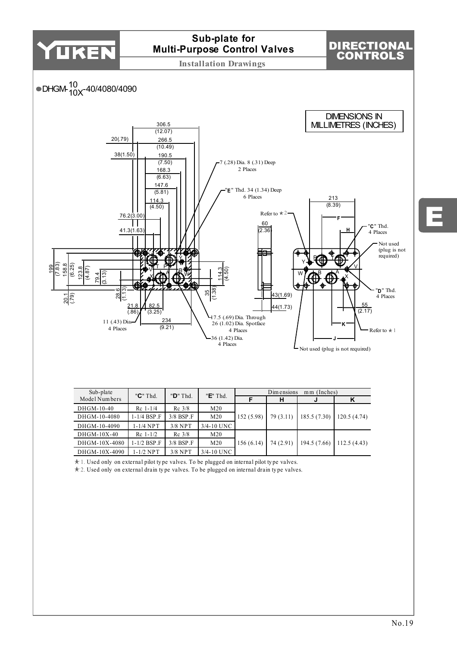

| MOULLY UILDELS |             |                          |                 |           | н         |                           |             |
|----------------|-------------|--------------------------|-----------------|-----------|-----------|---------------------------|-------------|
| DHGM-10-40     | $Rc$ 1-1/4  | $Rc$ 3/8                 | M <sub>20</sub> |           |           |                           | 120.5(4.74) |
| DHGM-10-4080   | 1-1/4 BSP.F | $3/8$ BSP $\overline{F}$ | M <sub>20</sub> | 152(5.98) | 79(3.11)  | 185.5(7.30)               |             |
| DHGM-10-4090   | 1-1/4 NPT   | $3/8$ NPT                | $3/4 - 10$ UNC  |           |           |                           |             |
| $DHGM-10X-40$  | $Rc$ 1-1/2  | $Rc$ 3/8                 | M <sub>20</sub> | 156(6.14) | 74 (2.91) | $194.5(7.66)$ 112.5(4.43) |             |
| DHGM-10X-4080  | 1-1/2 BSP.F | $3/8$ BSP $\Gamma$       | M <sub>20</sub> |           |           |                           |             |
| DHGM-10X-4090  | 1-1/2 NPT   | $3/8$ NPT                | $3/4 - 10$ UNC  |           |           |                           |             |

1. Used only on external pilot ty pe valves. To be plugged on internal pilot ty pe valves.

2. Used only on external drain ty pe valves. To be plugged on internal drain ty pe valves.

E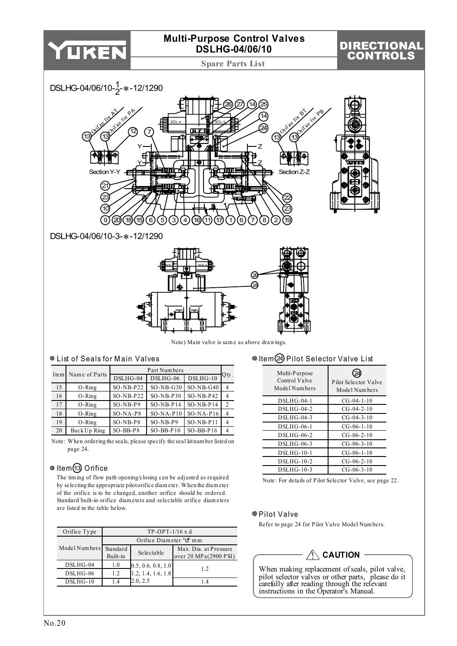

| Orifice Type           | $TP-OPT-1/16$ x d       |                                            |                       |  |  |  |  |  |
|------------------------|-------------------------|--------------------------------------------|-----------------------|--|--|--|--|--|
|                        | Orifice Diameter "d" mm |                                            |                       |  |  |  |  |  |
| Model Numbers Standard |                         | Selectable                                 | Max. Dia. at Pressure |  |  |  |  |  |
|                        | Built-in                |                                            | over 20 MPa(2900 PSI) |  |  |  |  |  |
| $DSLHG-04$             | 1.0                     |                                            | 12                    |  |  |  |  |  |
| $DSLHG-06$             | 1.2                     | $0.5, 0.6, 0.8, 1.0$<br>1.2, 1.4, 1.6, 1.8 |                       |  |  |  |  |  |
| $DSLHG-10$             | l 4                     | 2.0, 2.5                                   | 14                    |  |  |  |  |  |

# **CAUTION**

When making replacement of seals, pilot valve, pilot selector valves or other parts, please do it carefully after reading through the relevant instructions in the Operator's Manual.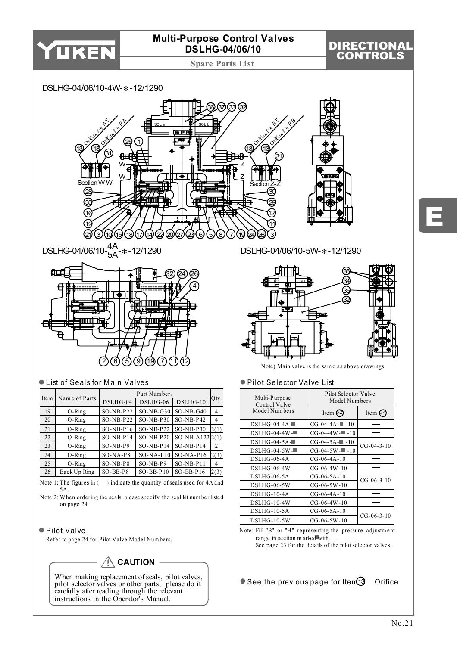

DIRECTIONAL CONTROLS

**Spare Parts List**

#### DSLHG-04/06/10-4W-∗-12/1290



DSLHG-04/06/10-<sup>4A</sup><br>−5A<sup>-</sup>\*-12/1290



### ● List of Seals for Main Valves

| Item | Name of Parts |              | Part Numbers |                   |                |
|------|---------------|--------------|--------------|-------------------|----------------|
|      |               | $DSLHG-04$   | DSLHG-06     | $DSLHG-10$        | Qty.           |
| 19   | $O-Ring$      | $SO-NB-P22$  | $SO-NB-G30$  | $SO-NB-G40$       | $\overline{4}$ |
| 20   | $O-Ring$      | $SO-NB-P22$  | $SO-NB-P30$  | $SO-NB-P42$       | 4              |
| 21   | $O-Ring$      | $SO-NB- P16$ | $SO-NB-P22$  | $SO-NB-P30$       | 2(1)           |
| 22   | $O-Ring$      | $SO-NB- P14$ | $SO-NB- P20$ | $SO-NB-A122 2(1)$ |                |
| 23   | $O-Ring$      | $SO-NB-P9$   | $SO-NB-P14$  | $SO-NB-P14$       | 2              |
| 24   | $O-Ring$      | $SO-NA-PS$   | $SO-NA-P10$  | $SO-NA-P16$       | 2(3)           |
| 25   | $O-Ring$      | $SO-NB-PS$   | $SO-NB-P9$   | $SO-NB-PI1$       | 4              |
| 26   | Back Up Ring  | $SO-BB-PS$   | $SO-BB- P10$ | $SO-BB-P16$       | 2(3)           |

Note 1: The figures in () indicate the quantity of seals used for 4A and 5A.

Note 2: W hen ordering the seals, please specify the seal kit num ber listed on page 24.

#### ● Pilot Valve

Refer to page 24 for Pilot Valve Model Num bers.



When making replacement of seals, pilot valves, pilot selector valves or other parts, please do it carefully after reading through the relevant instructions in the Operator's Manual.

DSLHG-04/06/10-5W-∗-12/1290



Note) Main valve is the sam e as above drawings.

#### ● Pilot Selector Valve List

| Multi-Purpose<br>Control Valve | Pilot Selector Valve<br>Model Numbers |                    |  |  |
|--------------------------------|---------------------------------------|--------------------|--|--|
| Model Numbers                  | Item $(2)$                            | Item $64$          |  |  |
| $DSLHG-04-4A-$                 | $CG-04-4A-10$                         |                    |  |  |
| $DSLHG-04-4W -$                | $CG-04-4W = -10$                      |                    |  |  |
| $DSLHG-04-5A$                  | $CG - 04 - 5A - 10$                   | $CG - 04 - 3 - 10$ |  |  |
| $DSLHG-04-5W$                  | $CG - 04 - 5W - 10$                   |                    |  |  |
| DSLHG-06-4A                    | $CG-06-4A-10$                         |                    |  |  |
| DSLHG-06-4W                    | $CG-06-4W-10$                         |                    |  |  |
| DSLHG-06-5A                    | $CG-06-5A-10$                         | $CG-06-3-10$       |  |  |
| DSLHG-06-5W                    | $CG-06-5W-10$                         |                    |  |  |
| DSLHG-10-4A                    | $CG-06-4A-10$                         |                    |  |  |
| DSLHG-10-4W                    | $CG-06-4W-10$                         |                    |  |  |
| $DSLHG-10-5A$                  | $CG-06-5A-10$                         |                    |  |  |
| DSLHG-10-5W                    | $CG-06-5W-10$                         | $CG-06-3-10$       |  |  |

Note: Fill "B" or "H" representing the pressure adjustm ent range in section m arked with . See page 23 for the details of the pilot selector valves.

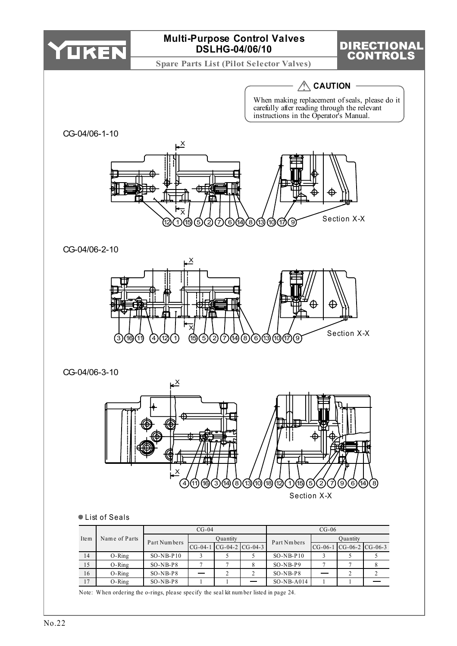

Note: W hen ordering the o-rings, please specify the seal kit num ber listed in page 24.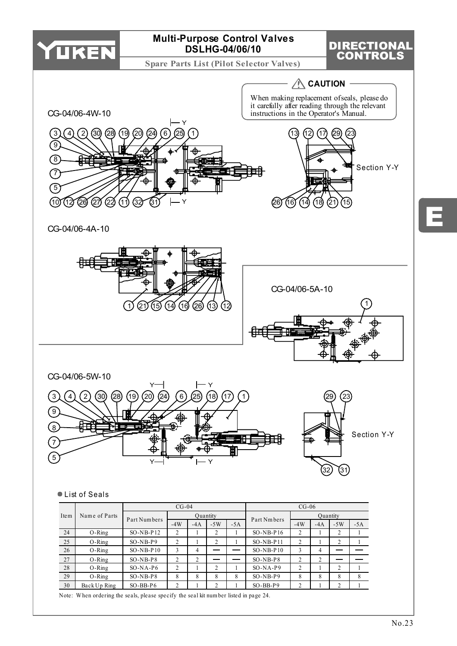

**Spare Parts List (Pilot Selector Valves)**

# DIRECTIONAL CONTROLS

 $\hat{M}$  CAUTION -



CG-04/06-4A-10





### List of Seals

|                       |              |              | $CG-04$        |                |       |       |              | $CG-06$  |       |               |       |  |
|-----------------------|--------------|--------------|----------------|----------------|-------|-------|--------------|----------|-------|---------------|-------|--|
| Name of Parts<br>Item |              | Part Numbers | Quantity       |                |       |       | Part Nm bers | Quantity |       |               |       |  |
|                       |              |              | $-4W$          | $-4A$          | $-5W$ | $-5A$ |              | $-4W$    | $-4A$ | $-5W$         | $-5A$ |  |
| 24                    | $O-Ring$     | $SO-NB-P12$  | 2              |                | 2     |       | $SO-NB-P16$  | 2        |       | 2             |       |  |
| 25                    | $O-Ring$     | $SO-NB-P9$   | 2              |                | 2     |       | $SO-NB- P11$ | 2        |       | 2             |       |  |
| 26                    | $O-Ring$     | $SO-NB-P10$  | 3              | 4              |       |       | $SO-NB-P10$  | 3        | 4     |               |       |  |
| 27                    | $O-Ring$     | $SO-NB-PS$   | $\overline{c}$ | $\mathfrak{D}$ |       |       | $SO-NB-PS$   | 2        | 2     |               |       |  |
| 28                    | $O-Ring$     | $SO-NA-P6$   | 2              |                | 2     |       | $SO-NA-P9$   | 2        |       | 2             |       |  |
| 29                    | $O-Ring$     | $SO-NB-PS$   | 8              | 8              | 8     | 8     | $SO-NB-P9$   | 8        | 8     | 8             | 8     |  |
| 30                    | Back Up Ring | $SO-BB- P6$  | C              |                | 2     |       | $SO-BB-P9$   | 2        |       | $\mathcal{L}$ |       |  |

Note: W hen ordering the seals, please specify the seal kit num ber listed in page 24.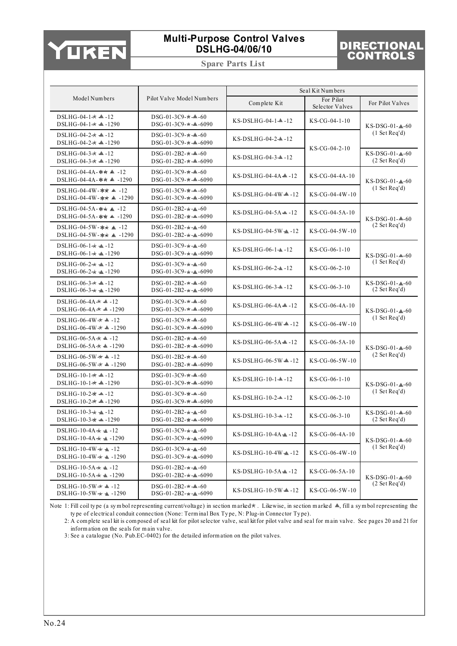

**Spare Parts List**

# DIRECTIONAL CONTROLS

|                                                                                        |                                                                              |                                                 | Seal Kit Numbers             |                                   |  |
|----------------------------------------------------------------------------------------|------------------------------------------------------------------------------|-------------------------------------------------|------------------------------|-----------------------------------|--|
| Model Numbers                                                                          | Pilot Valve Model Numbers                                                    | Complete Kit                                    | For Pilot<br>Selector Valves | For Pilot Valves                  |  |
| DSLHG-04-1 $\star$ $\triangle$ -12<br>$DSLHG-04-1 \star \triangleq -1290$              | $DSG-01-3C9-+ - 60$<br>$DSG-01-3C9-\star -\triangle -6090$                   | $KS-DSLHG-04-1-1-12$                            | $KS-CG-04-1-10$              | $KS-DSG-01-4-60$                  |  |
| DSLHG-04-2 $\star$ $\blacktriangle$ -12<br>DSLHG-04-2 $\star$ 4 -1290                  | $DSG-01-3C9-+ - 60$<br>$DSG-01-3C9 \#$ - $\triangle$ -6090                   | $KS-DSLHG-04-2-12$                              |                              | (1 Set Reg'd)                     |  |
| DSLHG-04-3 $\star$ 4-12<br>DSLHG-04-3 $\star$ 4-1290                                   | $DSG-01-2B2-\pi-4-60$<br>$DSG-01-2B2-\pi-4-6090$                             | $KS-DSLHG-04-3-12$                              | $KS-CG-04-2-10$              | $KS-DSG-01-4-60$<br>(2 Set Reg'd) |  |
| DSLHG-04-4A-** $\triangle$ -12<br>DSLHG-04-4A-** $\triangle$ -1290                     | $DSG-01-3C9 \star$ -4 -60<br>$DSG-01-3C9-#$ $\triangle$ -6090                | $KS-DSLHG-04-4A - 12$                           | $KS-CG-04-4A-10$             | $KS-DSG-01-4-60$                  |  |
| DSLHG-04-4W- $\star\star$ $\blacktriangle$ -12<br>DSLHG-04-4W- $\star \star$ ▲ -1290   | $DSG-01-3C9 \star$ - $\blacktriangle$ -60<br>$DSG-01-3C9-\pi-\triangle-6090$ | $KS-DSLHG-04-4W - 12$                           | $KS-CG-04-4W-10$             | (1 Set Reg'd)                     |  |
| DSLHG-04-5A-** $\triangle$ -12<br>DSLHG-04-5A- $\star\star$ $\blacktriangle$ -1290     | $DSG-01-2B2-+ - 60$<br>$DSG-01-2B2-\pi-4-6090$                               | $KS-DSLHG-04-5A-12$                             | $KS-CG-04-5A-10$             | $KS-DSG-01-4-60$                  |  |
| DSLHG-04-5W- $\star\star$ $\blacktriangle$ -12<br>DSLHG-04-5W- $\star \star = 1290$    | $DSG-01-2B2-+ - 60$<br>$DSG-01-2B2-+ - 6090$                                 | $KS-DSLHG-04-5W-12$                             | $KS-CG-04-5W-10$             | (2 Set Reg'd)                     |  |
| DSLHG-06-1 $\star$ $\triangle$ -12<br>$DSLHG-06-1$ $\star$ $\star$ -1290               | $DSG-01-3C9-+ - 60$<br>$DSG-01-3C9-+ -$ -6090                                |                                                 | $KS-CG-06-1-10$              | $KS-DSG-01-4-60$                  |  |
| DSLHG-06-2 $\star$ $\blacktriangle$ -12<br>$DSLHG-06-2$ $\star$ $\star$ -1290          | $DSG-01-3C9-+ - 60$<br>$DSG-01-3C9-+ -$ -6090                                | $KS-DSLHG-06-2-12$                              | $KS-CG-06-2-10$              | (1 Set Reg'd)                     |  |
| DSLHG-06-3 $\star$ $\triangle$ -12<br>DSLHG-06-3 $\star$ $\blacktriangle$ -1290        | $DSG-01-2B2-+ - 60$<br>$DSG-01-2B2-+(-0.6090)$                               | $KS-DSLHG-06-3-12$                              | $KS-CG-06-3-10$              | $KS-DSG-01-4-60$<br>(2 Set Reg'd) |  |
| DSLHG-06-4A $\star$ 4 -12<br>DSLHG-06-4A $\star$ 4 -1290                               | $DSG-01-3C9-\star-\triangle-60$<br>$DSG-01-3C9-+$ $-6090$                    | $KS-DSLHG-06-4A-12$                             | KS-CG-06-4A-10               | $KS-DSG-01-4-60$                  |  |
| DSLHG-06-4W $\star$ $\blacktriangle$ -12<br>DSLHG-06-4W $\star$ $\blacktriangle$ -1290 | $DSG-01-3C9-+$ $-60$<br>$DSG-01-3C9-\pi-\triangle-6090$                      | $KS-DSLHG-06-4W - 12$                           | KS-CG-06-4W-10               | (1 Set Reg'd)                     |  |
| DSLHG-06-5A $\star$ $\blacktriangle$ -12<br>DSLHG-06-5A $\star$ $\triangle$ -1290      | $DSG-01-2B2-\pi-4-60$<br>$DSG-01-2B2-\pi-4-6090$                             | $KS-DSLHG-06-5A-12$                             | KS-CG-06-5A-10               | $KS-DSG-01-4-60$                  |  |
| DSLHG-06-5W $\star$ $\triangle$ -12<br>DSLHG-06-5W $\star$ $\triangle$ -1290           | $DSG-01-2B2-\star-\blacktriangle-60$<br>$DSG-01-2B2-\pi-4-6090$              | $KS-DSLHG-06-5W - 12$                           | KS-CG-06-5W-10               | (2 Set Reg'd)                     |  |
| DSLHG-10-1 $\star$ 4-12<br>DSLHG-10-1 $\star$ 4-1290                                   | $DSG-01-3C9-+$ -4-60<br>$DSG-01-3C9-\star-\blacktriangle-6090$               | $KS-DSLHG-10-1-1-12$                            | $KS-CG-06-1-10$              | $KS-DSG-01-4-60$                  |  |
| DSLHG-10-2 $\star$ $\blacktriangle$ -12<br>DSLHG-10-2 $\star$ 4 -1290                  | $DSG-01-3C9-\pi-\blacktriangle-60$<br>$DSG-01-3C9-\star-\triangle-6090$      | $KS-DSLHG-10-2-12$                              | KS-CG-06-2-10                | (1 Set Reg'd)                     |  |
| DSLHG-10-3 $\star$ -12<br>DSLHG-10-3 $\star$ $\blacktriangle$ -1290                    | $DSG-01-2B2-+ - 60$<br>$DSG-01-2B2-\pi-4-6090$                               | $KS-DSLHG-10-3-12$                              | $KS-CG-06-3-10$              | $KS-DSG-01-4-60$<br>(2 Set Reg'd) |  |
| DSLHG-10-4A $\star$ $\triangle$ -12<br>DSLHG-10-4A $\star$ $\blacktriangle$ -1290      | $DSG-01-3C9-+ - 60$<br>$DSG-01-3C9-+ -$ -6090                                | $KS-DSLHG-10-4A-12$                             | KS-CG-06-4A-10               | $KS-DSG-01-4-60$                  |  |
| DSLHG-10-4W $\star \blacktriangle$ -12<br>DSLHG-10-4W $\star$ $\triangle$ -1290        | $DSG-01-3C9-+ - 60$<br>$DSG-01-3C9-+ - 6090$                                 | $KS\text{-}DSLHG\text{-}10\text{-}4W\text{-}12$ | KS-CG-06-4W-10               | (1 Set Reg'd)                     |  |
| DSLHG-10-5A $\star$ $\triangle$ -12<br>DSLHG-10-5A $\star$ $\triangle$ -1290           | $DSG-01-2B2-+ - 60$<br>$DSG-01-2B2-+ - 6090$                                 | $KS-DSLHG-10-5A-12$                             | KS-CG-06-5A-10               | $KS-DSG-01-4-60$                  |  |
| DSLHG-10-5W $\star$ $\triangle$ -12<br>$DSLHG-10-5W + 1-1290$                          | $DSG-01-2B2-\star-\triangle-60$<br>$DSG-01-2B2-\star-\triangle-6090$         | $KS-DSLHG-10-5W -12$                            | KS-CG-06-5W-10               | (2 Set Reg'd)                     |  |

Note 1: Fill coil type (a symbol representing current/voltage) in section marked  $\star$ . Likewise, in section marked  $\bullet$ , fill a symbol representing the ty pe of electrical conduit connection (None: Term inal Box Ty pe, N: Plug-in Connector Ty pe).

2: A com plete seal kit is com posed of seal kit for pilot selector valve, seal kit for pilot valve and seal for m ain valve. See pages 20 and 21 for inform ation on the seals for m ain valve.

3: See a catalogue (No. Pub.EC-0402) for the detailed inform ation on the pilot valves.